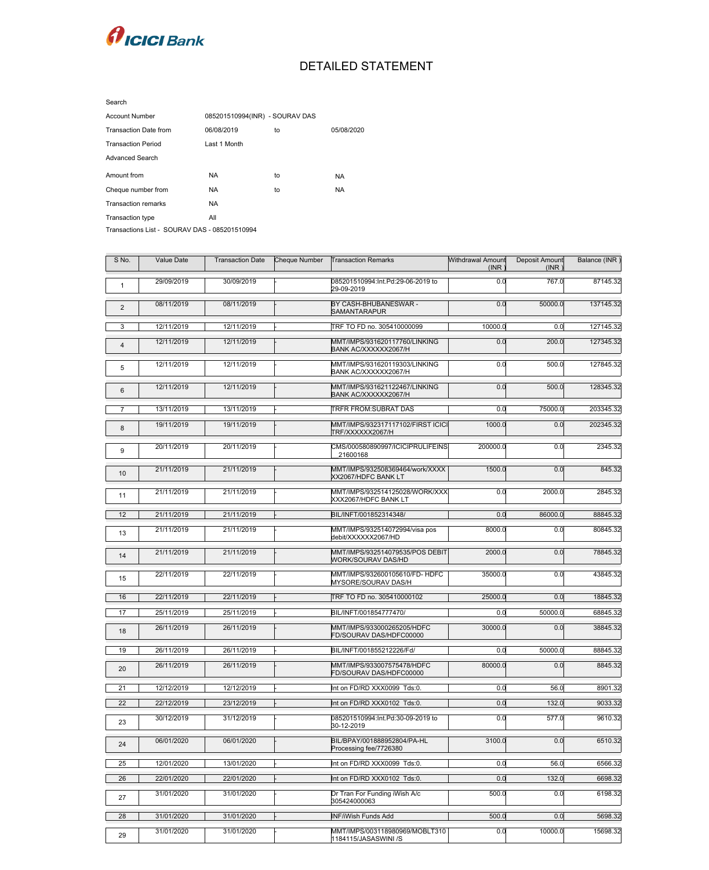

## DETAILED STATEMENT

| <b>Account Number</b>                         | 085201510994(INR) - SOURAV DAS |    |            |  |  |  |  |
|-----------------------------------------------|--------------------------------|----|------------|--|--|--|--|
| <b>Transaction Date from</b>                  | 06/08/2019                     | to | 05/08/2020 |  |  |  |  |
| <b>Transaction Period</b>                     | Last 1 Month                   |    |            |  |  |  |  |
| <b>Advanced Search</b>                        |                                |    |            |  |  |  |  |
| Amount from                                   | <b>NA</b>                      | to | NA.        |  |  |  |  |
| Cheque number from                            | NA.                            | to | NA.        |  |  |  |  |
| <b>Transaction remarks</b>                    | <b>NA</b>                      |    |            |  |  |  |  |
| Transaction type                              | All                            |    |            |  |  |  |  |
| Transactions List - SOURAV DAS - 085201510994 |                                |    |            |  |  |  |  |

| S No.           | Value Date | <b>Transaction Date</b> | <b>Cheque Number</b> | <b>Transaction Remarks</b>                                   | <b>Withdrawal Amount</b><br>(INR) | Deposit Amount<br>(INR) | Balance (INR) |
|-----------------|------------|-------------------------|----------------------|--------------------------------------------------------------|-----------------------------------|-------------------------|---------------|
| $\mathbf{1}$    | 29/09/2019 | 30/09/2019              |                      | 085201510994:Int.Pd:29-06-2019 to<br>29-09-2019              | 0.0                               | 767.0                   | 87145.32      |
| 2               | 08/11/2019 | 08/11/2019              |                      | BY CASH-BHUBANESWAR -<br>SAMANTARAPUR                        | 0.0                               | 50000.0                 | 137145.32     |
| 3               | 12/11/2019 | 12/11/2019              |                      | TRF TO FD no. 305410000099                                   | 10000.0                           | 0.0                     | 127145.32     |
| $\overline{4}$  | 12/11/2019 | 12/11/2019              |                      | MMT/IMPS/931620117760/LINKING<br>BANK AC/XXXXXX2067/H        | 0.0                               | 200.0                   | 127345.32     |
| 5               | 12/11/2019 | 12/11/2019              |                      | MMT/IMPS/931620119303/LINKING<br>BANK AC/XXXXXX2067/H        | 0.0                               | 500.0                   | 127845.32     |
| 6               | 12/11/2019 | 12/11/2019              |                      | MMT/IMPS/931621122467/LINKING<br>BANK AC/XXXXXX2067/H        | 0.0                               | 500.0                   | 128345.32     |
|                 | 13/11/2019 | 13/11/2019              |                      | <b>TRFR FROM:SUBRAT DAS</b>                                  | 0.0                               | 75000.0                 | 203345.32     |
| 8               | 19/11/2019 | 19/11/2019              |                      | MMT/IMPS/932317117102/FIRST ICICI<br>TRF/XXXXXX2067/H        | 1000.0                            | 0.0                     | 202345.32     |
| 9               | 20/11/2019 | 20/11/2019              |                      | CMS/000580890997/ICICIPRULIFEINS<br>21600168                 | 200000.0                          | 0.0                     | 2345.32       |
| 10              | 21/11/2019 | 21/11/2019              |                      | MMT/IMPS/932508369464/work/XXXX<br>XX2067/HDFC BANK LT       | 1500.0                            | 0.0                     | 845.32        |
| 11              | 21/11/2019 | 21/11/2019              |                      | MMT/IMPS/932514125028/WORK/XXX<br>XXX2067/HDFC BANK LT       | 0.0                               | 2000.0                  | 2845.32       |
| 12              | 21/11/2019 | 21/11/2019              |                      | BIL/INFT/001852314348/                                       | 0.0                               | 86000.0                 | 88845.32      |
| 13              | 21/11/2019 | 21/11/2019              |                      | MMT/IMPS/932514072994/visa pos<br>debit/XXXXXX2067/HD        | 8000.0                            | 0.0                     | 80845.32      |
| 14              | 21/11/2019 | 21/11/2019              |                      | MMT/IMPS/932514079535/POS DEBIT<br><b>WORK/SOURAV DAS/HD</b> | 2000.0                            | 0.0                     | 78845.32      |
| 15              | 22/11/2019 | 22/11/2019              |                      | MMT/IMPS/932600105610/FD-HDFC<br>MYSORE/SOURAV DAS/H         | 35000.0                           | 0.0                     | 43845.32      |
| 16              | 22/11/2019 | 22/11/2019              |                      | TRF TO FD no. 305410000102                                   | 25000.0                           | 0.0                     | 18845.32      |
| 17              | 25/11/2019 | 25/11/2019              |                      | BIL/INFT/001854777470/                                       | 0.0                               | 50000.0                 | 68845.32      |
| 18              | 26/11/2019 | 26/11/2019              |                      | MMT/IMPS/933000265205/HDFC<br>FD/SOURAV DAS/HDFC00000        | 30000.0                           | 0.0                     | 38845.32      |
| 19              | 26/11/2019 | 26/11/2019              |                      | BIL/INFT/001855212226/Fd/                                    | 0.0                               | 50000.0                 | 88845.32      |
| 20              | 26/11/2019 | 26/11/2019              |                      | MMT/IMPS/933007575478/HDFC<br>FD/SOURAV DAS/HDFC00000        | 80000.0                           | 0.0                     | 8845.32       |
| 21              | 12/12/2019 | 12/12/2019              |                      | Int on FD/RD XXX0099 Tds:0.                                  | 0.0                               | 56.0                    | 8901.32       |
| 22              | 22/12/2019 | 23/12/2019              |                      | Int on FD/RD XXX0102 Tds:0.                                  | 0.0                               | 132.0                   | 9033.32       |
| 23              | 30/12/2019 | 31/12/2019              |                      | 085201510994:Int.Pd:30-09-2019 to<br>30-12-2019              | $\overline{0.0}$                  | 577.0                   | 9610.32       |
| 24              | 06/01/2020 | 06/01/2020              |                      | BIL/BPAY/001888952804/PA-HL<br>Processing fee/7726380        | 3100.0                            | 0.0                     | 6510.32       |
| 25              | 12/01/2020 | 13/01/2020              |                      | Int on FD/RD XXX0099 Tds:0.                                  | 0.0                               | 56.0                    | 6566.32       |
| 26              | 22/01/2020 | 22/01/2020              |                      | Int on FD/RD XXX0102 Tds:0.                                  | 0.0                               | 132.0                   | 6698.32       |
| 27              | 31/01/2020 | 31/01/2020              |                      | Dr Tran For Funding iWish A/c<br>305424000063                | 500.0                             | 0.0                     | 6198.32       |
| $\overline{28}$ | 31/01/2020 | 31/01/2020              |                      | <b>INF/iWish Funds Add</b>                                   | 500.0                             | 0.0                     | 5698.32       |
| 29              | 31/01/2020 | 31/01/2020              |                      | MMT/IMPS/003118980969/MOBLT310<br>1184115/JASASWINI /S       | 0.0                               | 10000.0                 | 15698.32      |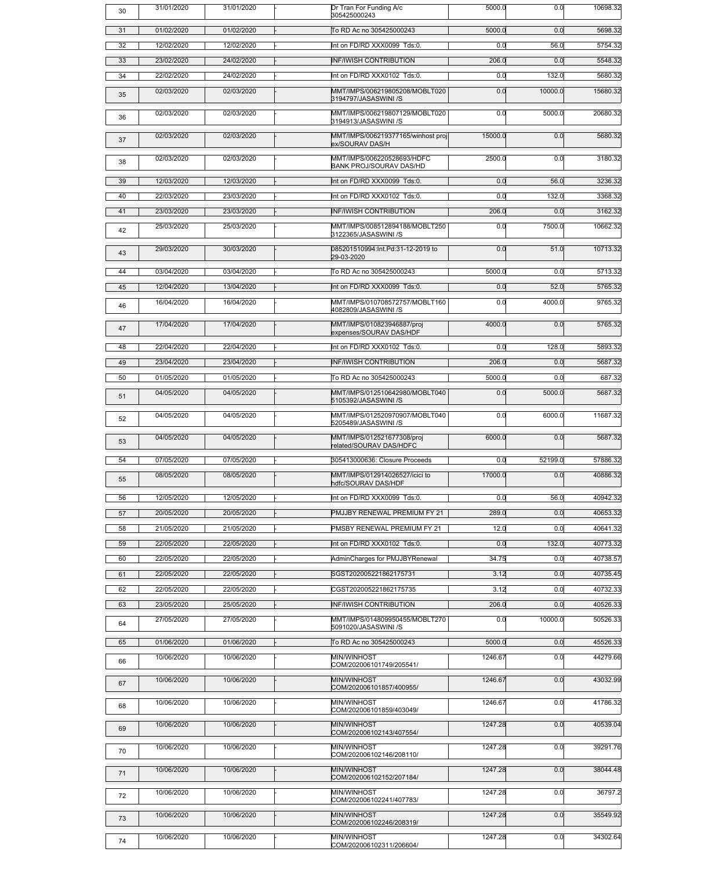| 30 | 31/01/2020 | 31/01/2020 | Dr Tran For Funding A/c<br>305425000243                      | 5000.0  | 0.0     | 10698.32 |
|----|------------|------------|--------------------------------------------------------------|---------|---------|----------|
| 31 | 01/02/2020 | 01/02/2020 | To RD Ac no 305425000243                                     | 5000.0  | 0.0     | 5698.32  |
| 32 | 12/02/2020 | 12/02/2020 | Int on FD/RD XXX0099 Tds:0.                                  | 0.0     | 56.0    | 5754.32  |
| 33 | 23/02/2020 | 24/02/2020 | <b>INF/IWISH CONTRIBUTION</b>                                | 206.0   | 0.0     | 5548.32  |
| 34 | 22/02/2020 | 24/02/2020 | Int on FD/RD XXX0102 Tds:0.                                  | 0.0     | 132.0   | 5680.32  |
| 35 | 02/03/2020 | 02/03/2020 | MMT/IMPS/006219805208/MOBLT020<br>3194797/JASASWINI /S       | 0.0     | 10000.0 | 15680.32 |
| 36 | 02/03/2020 | 02/03/2020 | MMT/IMPS/006219807129/MOBLT020<br>3194913/JASASWINI /S       | 0.0     | 5000.0  | 20680.32 |
| 37 | 02/03/2020 | 02/03/2020 | MMT/IMPS/006219377165/winhost proj<br>ex/SOURAV DAS/H        | 15000.0 | 0.0     | 5680.32  |
| 38 | 02/03/2020 | 02/03/2020 | MMT/IMPS/006220528693/HDFC<br><b>BANK PROJ/SOURAV DAS/HD</b> | 2500.0  | 0.0     | 3180.32  |
| 39 | 12/03/2020 | 12/03/2020 | Int on FD/RD XXX0099 Tds:0.                                  | 0.0     | 56.0    | 3236.32  |
| 40 | 22/03/2020 | 23/03/2020 | Int on FD/RD XXX0102 Tds:0.                                  | 0.0     | 132.0   | 3368.32  |
| 41 | 23/03/2020 | 23/03/2020 | <b>INF/IWISH CONTRIBUTION</b>                                | 206.0   | 0.0     | 3162.32  |
| 42 | 25/03/2020 | 25/03/2020 | MMT/IMPS/008512894188/MOBLT250<br>3122365/JASASWINI /S       | 0.0     | 7500.0  | 10662.32 |
| 43 | 29/03/2020 | 30/03/2020 | 085201510994:Int.Pd:31-12-2019 to<br>29-03-2020              | 0.0     | 51.0    | 10713.32 |
| 44 | 03/04/2020 | 03/04/2020 | To RD Ac no 305425000243                                     | 5000.0  | 0.0     | 5713.32  |
| 45 | 12/04/2020 | 13/04/2020 | Int on FD/RD XXX0099 Tds:0.                                  | 0.0     | 52.0    | 5765.32  |
| 46 | 16/04/2020 | 16/04/2020 | MMT/IMPS/010708572757/MOBLT160<br>4082809/JASASWINI /S       | 0.0     | 4000.0  | 9765.32  |
| 47 | 17/04/2020 | 17/04/2020 | MMT/IMPS/010823946887/proj<br>expenses/SOURAV DAS/HDF        | 4000.0  | 0.0     | 5765.32  |
| 48 | 22/04/2020 | 22/04/2020 | Int on FD/RD XXX0102 Tds:0.                                  | 0.0     | 128.0   | 5893.32  |
| 49 | 23/04/2020 | 23/04/2020 | <b>INF/IWISH CONTRIBUTION</b>                                | 206.0   | 0.0     | 5687.32  |
| 50 | 01/05/2020 | 01/05/2020 | To RD Ac no 305425000243                                     | 5000.0  | 0.0     | 687.32   |
| 51 | 04/05/2020 | 04/05/2020 | MMT/IMPS/012510642980/MOBLT040<br>5105392/JASASWINI /S       | 0.0     | 5000.0  | 5687.32  |
| 52 | 04/05/2020 | 04/05/2020 | MMT/IMPS/012520970907/MOBLT040<br>5205489/JASASWINI /S       | 0.0     | 6000.0  | 11687.32 |
| 53 | 04/05/2020 | 04/05/2020 | MMT/IMPS/012521677308/proj<br>related/SOURAV DAS/HDFC        | 6000.0  | 0.0     | 5687.32  |
| 54 | 07/05/2020 | 07/05/2020 | 305413000636: Closure Proceeds                               | 0.0     | 52199.0 | 57886.32 |
| 55 | 08/05/2020 | 08/05/2020 | MMT/IMPS/012914026527/icici to<br>hdfc/SOURAV DAS/HDF        | 17000.0 | 0.0     | 40886.32 |
| 56 | 12/05/2020 | 12/05/2020 | Int on FD/RD XXX0099 Tds:0.                                  | 0.0     | 56.0    | 40942.32 |
| 57 | 20/05/2020 | 20/05/2020 | PMJJBY RENEWAL PREMIUM FY 21                                 | 289.0   | 0.0     | 40653.32 |
| 58 | 21/05/2020 | 21/05/2020 | <b>PMSBY RENEWAL PREMIUM FY 21</b>                           | 12.0    | 0.0     | 40641.32 |
| 59 | 22/05/2020 | 22/05/2020 | Int on FD/RD XXX0102 Tds:0.                                  | 0.0     | 132.0   | 40773.32 |
| 60 | 22/05/2020 | 22/05/2020 | AdminCharges for PMJJBYRenewal                               | 34.75   | 0.0     | 40738.57 |
| 61 | 22/05/2020 | 22/05/2020 | SGST202005221862175731                                       | 3.12    | 0.0     | 40735.45 |
| 62 | 22/05/2020 | 22/05/2020 | CGST202005221862175735                                       | 3.12    | 0.0     | 40732.33 |
| 63 | 23/05/2020 | 25/05/2020 | <b>INF/IWISH CONTRIBUTION</b>                                | 206.0   | 0.0     | 40526.33 |
| 64 | 27/05/2020 | 27/05/2020 | MMT/IMPS/014809950455/MOBLT270<br>5091020/JASASWINI /S       | 0.0     | 10000.0 | 50526.33 |
| 65 | 01/06/2020 | 01/06/2020 | To RD Ac no 305425000243                                     | 5000.0  | 0.0     | 45526.33 |
| 66 | 10/06/2020 | 10/06/2020 | MIN/WINHOST<br>COM/202006101749/205541/                      | 1246.67 | 0.0     | 44279.66 |
| 67 | 10/06/2020 | 10/06/2020 | MIN/WINHOST<br>COM/202006101857/400955/                      | 1246.67 | 0.0     | 43032.99 |
| 68 | 10/06/2020 | 10/06/2020 | MIN/WINHOST<br>COM/202006101859/403049/                      | 1246.67 | 0.0     | 41786.32 |
| 69 | 10/06/2020 | 10/06/2020 | MIN/WINHOST<br>COM/202006102143/407554/                      | 1247.28 | 0.0     | 40539.04 |
| 70 | 10/06/2020 | 10/06/2020 | MIN/WINHOST<br>COM/202006102146/208110/                      | 1247.28 | 0.0     | 39291.76 |
| 71 | 10/06/2020 | 10/06/2020 | MIN/WINHOST<br>COM/202006102152/207184/                      | 1247.28 | 0.0     | 38044.48 |
| 72 | 10/06/2020 | 10/06/2020 | MIN/WINHOST<br>COM/202006102241/407783/                      | 1247.28 | 0.0     | 36797.2  |
| 73 | 10/06/2020 | 10/06/2020 | MIN/WINHOST<br>COM/202006102246/208319/                      | 1247.28 | 0.0     | 35549.92 |
| 74 | 10/06/2020 | 10/06/2020 | MIN/WINHOST<br>COM/202006102311/206604/                      | 1247.28 | 0.0     | 34302.64 |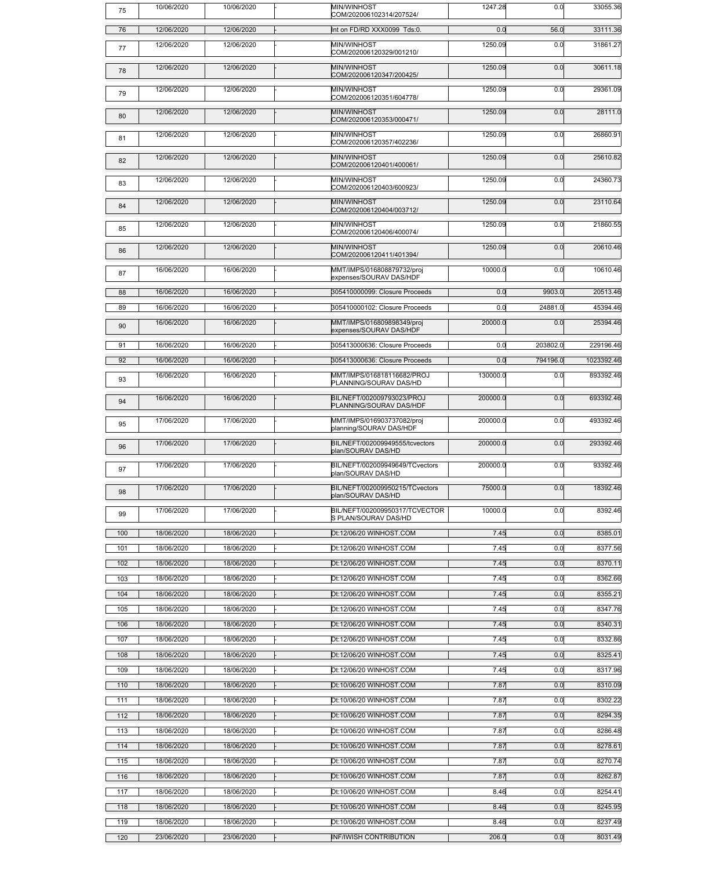| 75              | 10/06/2020 | 10/06/2020 | MIN/WINHOST<br>COM/202006102314/207524/                | 1247.28  | 0.0      | 33055.36   |
|-----------------|------------|------------|--------------------------------------------------------|----------|----------|------------|
| 76              | 12/06/2020 | 12/06/2020 | Int on FD/RD XXX0099 Tds:0.                            | 0.0      | 56.0     | 33111.36   |
| 77              | 12/06/2020 | 12/06/2020 | MIN/WINHOST<br>COM/202006120329/001210/                | 1250.09  | 0.0      | 31861.27   |
| 78              | 12/06/2020 | 12/06/2020 | MIN/WINHOST<br>COM/202006120347/200425/                | 1250.09  | 0.0      | 30611.18   |
| 79              | 12/06/2020 | 12/06/2020 | <b>MIN/WINHOST</b><br>COM/202006120351/604778/         | 1250.09  | 0.0      | 29361.09   |
| 80              | 12/06/2020 | 12/06/2020 | MIN/WINHOST<br>COM/202006120353/000471/                | 1250.09  | 0.0      | 28111.0    |
| 81              | 12/06/2020 | 12/06/2020 | MIN/WINHOST<br>COM/202006120357/402236/                | 1250.09  | 0.0      | 26860.91   |
| 82              | 12/06/2020 | 12/06/2020 | MIN/WINHOST<br>COM/202006120401/400061/                | 1250.09  | 0.0      | 25610.82   |
| 83              | 12/06/2020 | 12/06/2020 | MIN/WINHOST<br>COM/202006120403/600923/                | 1250.09  | 0.0      | 24360.73   |
| 84              | 12/06/2020 | 12/06/2020 | MIN/WINHOST<br>COM/202006120404/003712/                | 1250.09  | 0.0      | 23110.64   |
| 85              | 12/06/2020 | 12/06/2020 | MIN/WINHOST<br>COM/202006120406/400074/                | 1250.09  | 0.0      | 21860.55   |
| 86              | 12/06/2020 | 12/06/2020 | MIN/WINHOST<br>COM/202006120411/401394/                | 1250.09  | 0.0      | 20610.46   |
| 87              | 16/06/2020 | 16/06/2020 | MMT/IMPS/016808879732/proj<br>expenses/SOURAV DAS/HDF  | 10000.0  | 0.0      | 10610.46   |
| 88              | 16/06/2020 | 16/06/2020 | 305410000099: Closure Proceeds                         | 0.0      | 9903.0   | 20513.46   |
| $\overline{89}$ | 16/06/2020 | 16/06/2020 | 305410000102: Closure Proceeds                         | 0.0      | 24881.0  | 45394.46   |
| 90              | 16/06/2020 | 16/06/2020 | MMT/IMPS/016809898349/proj<br>expenses/SOURAV DAS/HDF  | 20000.0  | 0.0      | 25394.46   |
| 91              | 16/06/2020 | 16/06/2020 | 305413000636: Closure Proceeds                         | 0.0      | 203802.0 | 229196.46  |
| 92              | 16/06/2020 | 16/06/2020 | 305413000636: Closure Proceeds                         | 0.0      | 794196.0 | 1023392.46 |
| 93              | 16/06/2020 | 16/06/2020 | MMT/IMPS/016818116682/PROJ<br>PLANNING/SOURAV DAS/HD   | 130000.0 | 0.0      | 893392.46  |
| 94              | 16/06/2020 | 16/06/2020 | BIL/NEFT/002009793023/PROJ<br>PLANNING/SOURAV DAS/HDF  | 200000.0 | 0.0      | 693392.46  |
| 95              | 17/06/2020 | 17/06/2020 | MMT/IMPS/016903737082/proj<br>planning/SOURAV DAS/HDF  | 200000.0 | 0.0      | 493392.46  |
| 96              | 17/06/2020 | 17/06/2020 | BIL/NEFT/002009949555/tcvectors<br>plan/SOURAV DAS/HD  | 200000.0 | 0.0      | 293392.46  |
| 97              | 17/06/2020 | 17/06/2020 | BIL/NEFT/002009949649/TCvectors<br>plan/SOURAV DAS/HD  | 200000.0 | 0.0      | 93392.46   |
| 98              | 17/06/2020 | 17/06/2020 | BIL/NEFT/002009950215/TCvectors<br>plan/SOURAV DAS/HD  | 75000.0  | 0.0      | 18392.46   |
| 99              | 17/06/2020 | 17/06/2020 | BIL/NEFT/002009950317/TCVECTOR<br>S PLAN/SOURAV DAS/HD | 10000.0  | 0.0      | 8392.46    |
| 100             | 18/06/2020 | 18/06/2020 | Dt:12/06/20 WINHOST.COM                                | 7.45     | 0.0      | 8385.01    |
| 101             | 18/06/2020 | 18/06/2020 | Dt:12/06/20 WINHOST.COM                                | 7.45     | 0.0      | 8377.56    |
| 102             | 18/06/2020 | 18/06/2020 | Dt:12/06/20 WINHOST.COM                                | 7.45     | 0.0      | 8370.11    |
| 103             | 18/06/2020 | 18/06/2020 | Dt:12/06/20 WINHOST.COM                                | 7.45     | 0.0      | 8362.66    |
| 104             | 18/06/2020 | 18/06/2020 | Dt:12/06/20 WINHOST.COM                                | 7.45     | 0.0      | 8355.21    |
| 105             | 18/06/2020 | 18/06/2020 | Dt:12/06/20 WINHOST.COM                                | 7.45     | 0.0      | 8347.76    |
| 106             | 18/06/2020 | 18/06/2020 | Dt:12/06/20 WINHOST.COM                                | 7.45     | 0.0      | 8340.31    |
| 107             | 18/06/2020 | 18/06/2020 | Dt:12/06/20 WINHOST.COM                                | 7.45     | 0.0      | 8332.86    |
| 108             | 18/06/2020 | 18/06/2020 | Dt:12/06/20 WINHOST.COM                                | 7.45     | 0.0      | 8325.41    |
| 109             | 18/06/2020 | 18/06/2020 | Dt:12/06/20 WINHOST.COM                                | 7.45     | 0.0      | 8317.96    |
| 110             | 18/06/2020 | 18/06/2020 | Dt:10/06/20 WINHOST.COM                                | 7.87     | 0.0      | 8310.09    |
| 111             | 18/06/2020 | 18/06/2020 | Dt:10/06/20 WINHOST.COM                                | 7.87     | 0.0      | 8302.22    |
| 112             | 18/06/2020 | 18/06/2020 | Dt:10/06/20 WINHOST.COM                                | 7.87     | 0.0      | 8294.35    |
| 113             | 18/06/2020 | 18/06/2020 | Dt:10/06/20 WINHOST.COM                                | 7.87     | 0.0      | 8286.48    |
| 114             | 18/06/2020 | 18/06/2020 | Dt:10/06/20 WINHOST.COM                                | 7.87     | 0.0      | 8278.61    |
| 115             | 18/06/2020 | 18/06/2020 | Dt:10/06/20 WINHOST.COM                                | 7.87     | 0.0      | 8270.74    |
| 116             | 18/06/2020 | 18/06/2020 | Dt:10/06/20 WINHOST.COM                                | 7.87     | 0.0      | 8262.87    |
| 117             | 18/06/2020 | 18/06/2020 | Dt:10/06/20 WINHOST.COM                                | 8.46     | 0.0      | 8254.41    |
| 118             | 18/06/2020 | 18/06/2020 | Dt:10/06/20 WINHOST.COM                                | 8.46     | 0.0      | 8245.95    |
| 119             | 18/06/2020 | 18/06/2020 | Dt:10/06/20 WINHOST.COM                                | 8.46     | 0.0      | 8237.49    |
| 120             | 23/06/2020 | 23/06/2020 | <b>INF/IWISH CONTRIBUTION</b>                          | 206.0    | 0.0      | 8031.49    |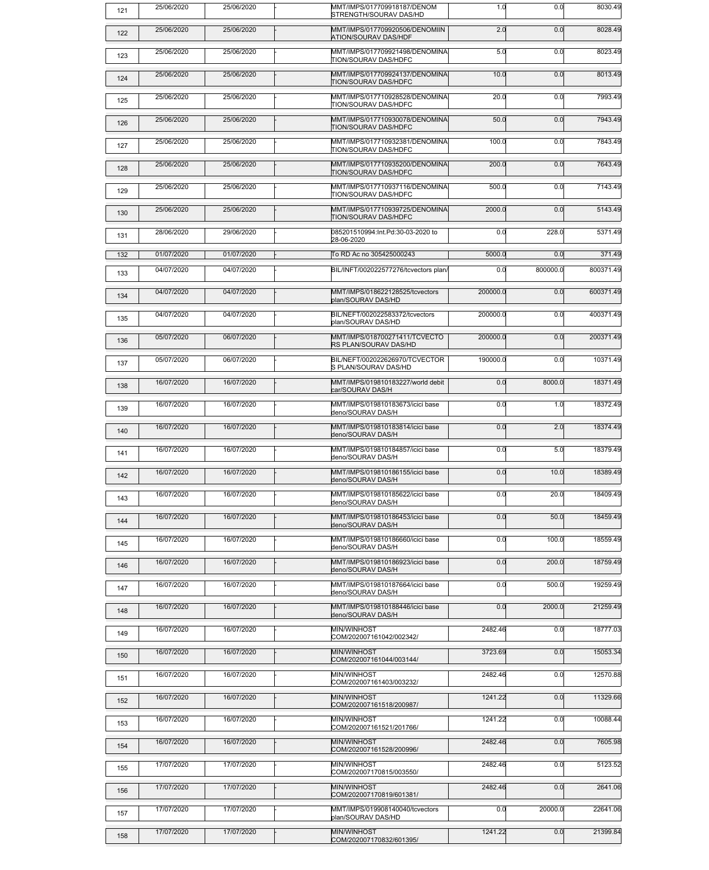| 121 | 25/06/2020 | 25/06/2020 | MMT/IMPS/017709918187/DENOM<br>STRENGTH/SOURAV DAS/HD         | 1.0      | 0.0      | 8030.49   |
|-----|------------|------------|---------------------------------------------------------------|----------|----------|-----------|
| 122 | 25/06/2020 | 25/06/2020 | MMT/IMPS/017709920506/DENOMIIN<br><b>ATION/SOURAV DAS/HDF</b> | 2.0      | 0.0      | 8028.49   |
| 123 | 25/06/2020 | 25/06/2020 | MMT/IMPS/017709921498/DENOMINA<br><b>TION/SOURAV DAS/HDFC</b> | 5.0      | 0.0      | 8023.49   |
| 124 | 25/06/2020 | 25/06/2020 | MMT/IMPS/017709924137/DENOMINA<br><b>TION/SOURAV DAS/HDFC</b> | 10.0     | 0.0      | 8013.49   |
| 125 | 25/06/2020 | 25/06/2020 | MMT/IMPS/017710928528/DENOMINA<br><b>TION/SOURAV DAS/HDFC</b> | 20.0     | 0.0      | 7993.49   |
| 126 | 25/06/2020 | 25/06/2020 | MMT/IMPS/017710930078/DENOMINA<br><b>TION/SOURAV DAS/HDFC</b> | 50.0     | 0.0      | 7943.49   |
| 127 | 25/06/2020 | 25/06/2020 | MMT/IMPS/017710932381/DENOMINA<br><b>TION/SOURAV DAS/HDFC</b> | 100.0    | 0.0      | 7843.49   |
| 128 | 25/06/2020 | 25/06/2020 | MMT/IMPS/017710935200/DENOMINA<br><b>TION/SOURAV DAS/HDFC</b> | 200.0    | 0.0      | 7643.49   |
| 129 | 25/06/2020 | 25/06/2020 | MMT/IMPS/017710937116/DENOMINA<br><b>TION/SOURAV DAS/HDFC</b> | 500.0    | 0.0      | 7143.49   |
| 130 | 25/06/2020 | 25/06/2020 | MMT/IMPS/017710939725/DENOMINA<br>TION/SOURAV DAS/HDFC        | 2000.0   | 0.0      | 5143.49   |
| 131 | 28/06/2020 | 29/06/2020 | 085201510994:Int.Pd:30-03-2020 to<br>28-06-2020               | 0.0      | 228.0    | 5371.49   |
| 132 | 01/07/2020 | 01/07/2020 | To RD Ac no 305425000243                                      | 5000.0   | 0.0      | 371.49    |
|     | 04/07/2020 | 04/07/2020 | BIL/INFT/002022577276/tcvectors plan/                         | 0.0      | 800000.0 | 800371.49 |
| 133 |            |            |                                                               |          |          |           |
| 134 | 04/07/2020 | 04/07/2020 | MMT/IMPS/018622128525/tcvectors<br>plan/SOURAV DAS/HD         | 200000.0 | 0.0      | 600371.49 |
| 135 | 04/07/2020 | 04/07/2020 | BIL/NEFT/002022583372/tcvectors<br>plan/SOURAV DAS/HD         | 200000.0 | 0.0      | 400371.49 |
| 136 | 05/07/2020 | 06/07/2020 | MMT/IMPS/018700271411/TCVECTO<br><b>RS PLAN/SOURAV DAS/HD</b> | 200000.0 | 0.0      | 200371.49 |
| 137 | 05/07/2020 | 06/07/2020 | BIL/NEFT/002022626970/TCVECTOR<br>S PLAN/SOURAV DAS/HD        | 190000.0 | 0.0      | 10371.49  |
| 138 | 16/07/2020 | 16/07/2020 | MMT/IMPS/019810183227/world debit<br>car/SOURAV DAS/H         | 0.0      | 8000.0   | 18371.49  |
| 139 | 16/07/2020 | 16/07/2020 | MMT/IMPS/019810183673/icici base<br>deno/SOURAV DAS/H         | 0.0      | 1.0      | 18372.49  |
| 140 | 16/07/2020 | 16/07/2020 | MMT/IMPS/019810183814/icici base<br>deno/SOURAV DAS/H         | 0.0      | 2.0      | 18374.49  |
| 141 | 16/07/2020 | 16/07/2020 | MMT/IMPS/019810184857/icici base<br>deno/SOURAV DAS/H         | 0.0      | 5.0      | 18379.49  |
| 142 | 16/07/2020 | 16/07/2020 | MMT/IMPS/019810186155/icici base<br>deno/SOURAV DAS/H         | 0.0      | 10.0     | 18389.49  |
| 143 | 16/07/2020 | 16/07/2020 | MMT/IMPS/019810185622/icici base<br>deno/SOURAV DAS/H         | 0.0      | 20.0     | 18409.49  |
| 144 | 16/07/2020 | 16/07/2020 | MMT/IMPS/019810186453/icici base<br>deno/SOURAV DAS/H         | 0.0      | 50.0     | 18459.49  |
| 145 | 16/07/2020 | 16/07/2020 | MMT/IMPS/019810186660/icici base<br>deno/SOURAV DAS/H         | 0.0      | 100.0    | 18559.49  |
| 146 | 16/07/2020 | 16/07/2020 | MMT/IMPS/019810186923/icici base<br>deno/SOURAV DAS/H         | 0.0      | 200.0    | 18759.49  |
| 147 | 16/07/2020 | 16/07/2020 | MMT/IMPS/019810187664/icici base<br>deno/SOURAV DAS/H         | 0.0      | 500.0    | 19259.49  |
| 148 | 16/07/2020 | 16/07/2020 | MMT/IMPS/019810188446/icici base<br>deno/SOURAV DAS/H         | 0.0      | 2000.0   | 21259.49  |
| 149 | 16/07/2020 | 16/07/2020 | MIN/WINHOST<br>COM/202007161042/002342/                       | 2482.46  | 0.0      | 18777.03  |
| 150 | 16/07/2020 | 16/07/2020 | MIN/WINHOST<br>COM/202007161044/003144/                       | 3723.69  | 0.0      | 15053.34  |
| 151 | 16/07/2020 | 16/07/2020 | MIN/WINHOST<br>COM/202007161403/003232/                       | 2482.46  | 0.0      | 12570.88  |
| 152 | 16/07/2020 | 16/07/2020 | MIN/WINHOST<br>COM/202007161518/200987/                       | 1241.22  | 0.0      | 11329.66  |
| 153 | 16/07/2020 | 16/07/2020 | MIN/WINHOST<br>COM/202007161521/201766/                       | 1241.22  | 0.0      | 10088.44  |
| 154 | 16/07/2020 | 16/07/2020 | MIN/WINHOST<br>COM/202007161528/200996/                       | 2482.46  | 0.0      | 7605.98   |
| 155 | 17/07/2020 | 17/07/2020 | MIN/WINHOST<br>COM/202007170815/003550/                       | 2482.46  | 0.0      | 5123.52   |
| 156 | 17/07/2020 | 17/07/2020 | MIN/WINHOST<br>COM/202007170819/601381/                       | 2482.46  | 0.0      | 2641.06   |
| 157 | 17/07/2020 | 17/07/2020 | MMT/IMPS/019908140040/tcvectors<br>plan/SOURAV DAS/HD         | 0.0      | 20000.0  | 22641.06  |
| 158 | 17/07/2020 | 17/07/2020 | MIN/WINHOST<br>COM/202007170832/601395/                       | 1241.22  | 0.0      | 21399.84  |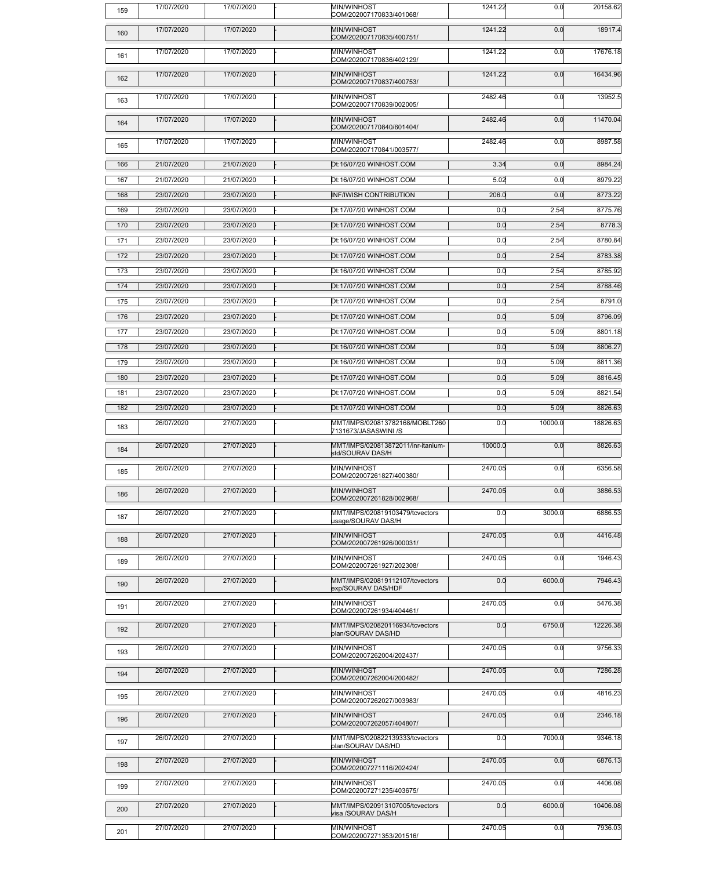| 159 | 17/07/2020 | 17/07/2020 | MIN/WINHOST<br>COM/202007170833/401068/                | 1241.22 | 0.0     | 20158.62 |
|-----|------------|------------|--------------------------------------------------------|---------|---------|----------|
| 160 | 17/07/2020 | 17/07/2020 | MIN/WINHOST<br>COM/202007170835/400751/                | 1241.22 | 0.0     | 18917.4  |
| 161 | 17/07/2020 | 17/07/2020 | MIN/WINHOST<br>COM/202007170836/402129/                | 1241.22 | 0.0     | 17676.18 |
| 162 | 17/07/2020 | 17/07/2020 | MIN/WINHOST<br>COM/202007170837/400753/                | 1241.22 | 0.0     | 16434.96 |
| 163 | 17/07/2020 | 17/07/2020 | MIN/WINHOST<br>COM/202007170839/002005/                | 2482.46 | 0.0     | 13952.5  |
| 164 | 17/07/2020 | 17/07/2020 | MIN/WINHOST<br>COM/202007170840/601404/                | 2482.46 | 0.0     | 11470.04 |
| 165 | 17/07/2020 | 17/07/2020 | MIN/WINHOST<br>COM/202007170841/003577/                | 2482.46 | 0.0     | 8987.58  |
| 166 | 21/07/2020 | 21/07/2020 | Dt:16/07/20 WINHOST.COM                                | 3.34    | 0.0     | 8984.24  |
| 167 | 21/07/2020 | 21/07/2020 | Dt:16/07/20 WINHOST.COM                                | 5.02    | 0.0     | 8979.22  |
| 168 | 23/07/2020 | 23/07/2020 | <b>INF/IWISH CONTRIBUTION</b>                          | 206.0   | 0.0     | 8773.22  |
| 169 | 23/07/2020 | 23/07/2020 | Dt:17/07/20 WINHOST.COM                                | 0.0     | 2.54    | 8775.76  |
| 170 | 23/07/2020 | 23/07/2020 | Dt:17/07/20 WINHOST.COM                                | 0.0     | 2.54    | 8778.3   |
| 171 | 23/07/2020 | 23/07/2020 | Dt:16/07/20 WINHOST.COM                                | 0.0     | 2.54    | 8780.84  |
| 172 | 23/07/2020 | 23/07/2020 | Dt:17/07/20 WINHOST.COM                                | 0.0     | 2.54    | 8783.38  |
| 173 | 23/07/2020 | 23/07/2020 | Dt:16/07/20 WINHOST.COM                                | 0.0     | 2.54    | 8785.92  |
| 174 | 23/07/2020 | 23/07/2020 | Dt:17/07/20 WINHOST.COM                                | 0.0     | 2.54    | 8788.46  |
| 175 | 23/07/2020 | 23/07/2020 | Dt:17/07/20 WINHOST.COM                                | 0.0     | 2.54    | 8791.0   |
|     |            |            |                                                        |         |         |          |
| 176 | 23/07/2020 | 23/07/2020 | Dt:17/07/20 WINHOST.COM                                | 0.0     | 5.09    | 8796.09  |
| 177 | 23/07/2020 | 23/07/2020 | Dt:17/07/20 WINHOST.COM                                | 0.0     | 5.09    | 8801.18  |
| 178 | 23/07/2020 | 23/07/2020 | Dt:16/07/20 WINHOST.COM                                | 0.0     | 5.09    | 8806.27  |
| 179 | 23/07/2020 | 23/07/2020 | Dt:16/07/20 WINHOST.COM                                | 0.0     | 5.09    | 8811.36  |
| 180 | 23/07/2020 | 23/07/2020 | Dt:17/07/20 WINHOST.COM                                | 0.0     | 5.09    | 8816.45  |
| 181 | 23/07/2020 | 23/07/2020 | Dt:17/07/20 WINHOST.COM                                | 0.0     | 5.09    | 8821.54  |
| 182 | 23/07/2020 | 23/07/2020 | Dt:17/07/20 WINHOST.COM                                | 0.0     | 5.09    | 8826.63  |
| 183 | 26/07/2020 | 27/07/2020 | MMT/IMPS/020813782168/MOBLT260<br>7131673/JASASWINI /S | 0.0     | 10000.0 | 18826.63 |
| 184 | 26/07/2020 | 27/07/2020 | MMT/IMPS/020813872011/inr-itanium-<br>std/SOURAV DAS/H | 10000.0 | 0.0     | 8826.63  |
| 185 | 26/07/2020 | 27/07/2020 | MIN/WINHOST<br>COM/202007261827/400380/                | 2470.05 | 0.0     | 6356.58  |
| 186 | 26/07/2020 | 27/07/2020 | MIN/WINHOST<br>COM/202007261828/002968/                | 2470.05 | 0.0     | 3886.53  |
| 187 | 26/07/2020 | 27/07/2020 | MMT/IMPS/020819103479/tcvectors<br>usage/SOURAV DAS/H  | 0.0     | 3000.0  | 6886.53  |
| 188 | 26/07/2020 | 27/07/2020 | MIN/WINHOST<br>COM/202007261926/000031/                | 2470.05 | 0.0     | 4416.48  |
| 189 | 26/07/2020 | 27/07/2020 | MIN/WINHOST<br>COM/202007261927/202308/                | 2470.05 | 0.0     | 1946.43  |
| 190 | 26/07/2020 | 27/07/2020 | MMT/IMPS/020819112107/tcvectors<br>exp/SOURAV DAS/HDF  | 0.0     | 6000.0  | 7946.43  |
| 191 | 26/07/2020 | 27/07/2020 | MIN/WINHOST<br>COM/202007261934/404461/                | 2470.05 | 0.0     | 5476.38  |
| 192 | 26/07/2020 | 27/07/2020 | MMT/IMPS/020820116934/tcvectors<br>plan/SOURAV DAS/HD  | 0.0     | 6750.0  | 12226.38 |
| 193 | 26/07/2020 | 27/07/2020 | MIN/WINHOST<br>COM/202007262004/202437/                | 2470.05 | 0.0     | 9756.33  |
| 194 | 26/07/2020 | 27/07/2020 | MIN/WINHOST<br>COM/202007262004/200482/                | 2470.05 | 0.0     | 7286.28  |
| 195 | 26/07/2020 | 27/07/2020 | MIN/WINHOST<br>COM/202007262027/003983/                | 2470.05 | 0.0     | 4816.23  |
| 196 | 26/07/2020 | 27/07/2020 | MIN/WINHOST<br>COM/202007262057/404807/                | 2470.05 | 0.0     | 2346.18  |
| 197 | 26/07/2020 | 27/07/2020 | MMT/IMPS/020822139333/tcvectors<br>plan/SOURAV DAS/HD  | 0.0     | 7000.0  | 9346.18  |
| 198 | 27/07/2020 | 27/07/2020 | MIN/WINHOST<br>COM/202007271116/202424/                | 2470.05 | 0.0     | 6876.13  |
| 199 | 27/07/2020 | 27/07/2020 | MIN/WINHOST<br>COM/202007271235/403675/                | 2470.05 | 0.0     | 4406.08  |
| 200 | 27/07/2020 | 27/07/2020 | MMT/IMPS/020913107005/tcvectors<br>visa /SOURAV DAS/H  | 0.0     | 6000.0  | 10406.08 |
| 201 | 27/07/2020 | 27/07/2020 | MIN/WINHOST<br>COM/202007271353/201516/                | 2470.05 | 0.0     | 7936.03  |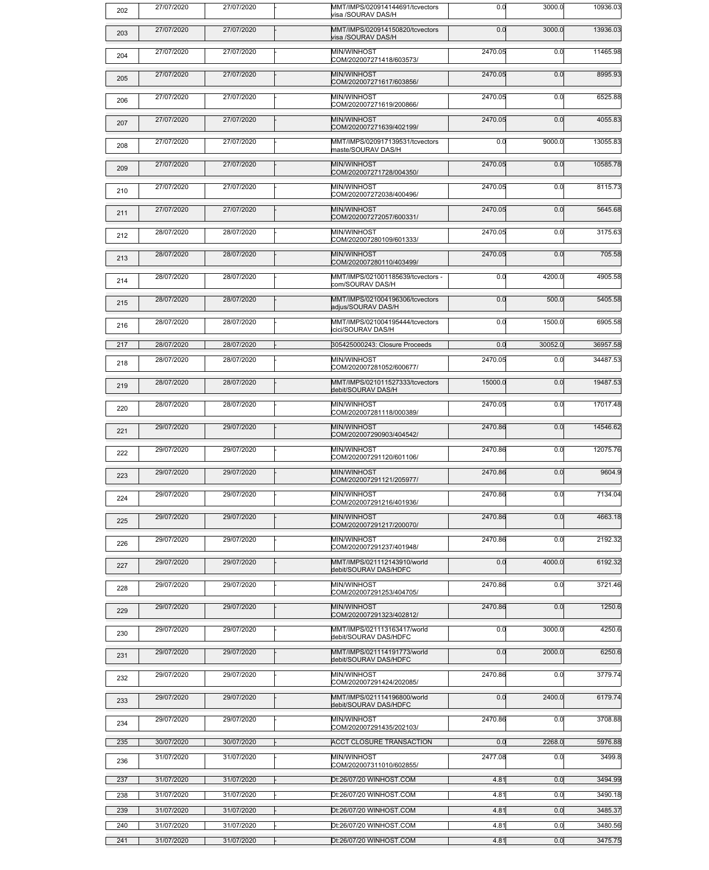| 202 | 27/07/2020 | 27/07/2020 | MMT/IMPS/020914144691/tcvectors<br>visa /SOURAV DAS/H        | 0.0     | 3000.0  | 10936.03 |
|-----|------------|------------|--------------------------------------------------------------|---------|---------|----------|
| 203 | 27/07/2020 | 27/07/2020 | MMT/IMPS/020914150820/tcvectors<br>visa /SOURAV DAS/H        | 0.0     | 3000.0  | 13936.03 |
| 204 | 27/07/2020 | 27/07/2020 | MIN/WINHOST<br>COM/202007271418/603573/                      | 2470.05 | 0.0     | 11465.98 |
| 205 | 27/07/2020 | 27/07/2020 | MIN/WINHOST<br>COM/202007271617/603856/                      | 2470.05 | 0.0     | 8995.93  |
| 206 | 27/07/2020 | 27/07/2020 | MIN/WINHOST<br>COM/202007271619/200866/                      | 2470.05 | 0.0     | 6525.88  |
| 207 | 27/07/2020 | 27/07/2020 | MIN/WINHOST<br>COM/202007271639/402199/                      | 2470.05 | 0.0     | 4055.83  |
| 208 | 27/07/2020 | 27/07/2020 | MMT/IMPS/020917139531/tcvectors<br>maste/SOURAV DAS/H        | 0.0     | 9000.0  | 13055.83 |
| 209 | 27/07/2020 | 27/07/2020 | MIN/WINHOST<br>COM/202007271728/004350/                      | 2470.05 | 0.0     | 10585.78 |
| 210 | 27/07/2020 | 27/07/2020 | MIN/WINHOST<br>COM/202007272038/400496/                      | 2470.05 | 0.0     | 8115.73  |
| 211 | 27/07/2020 | 27/07/2020 | MIN/WINHOST<br>COM/202007272057/600331/                      | 2470.05 | 0.0     | 5645.68  |
| 212 | 28/07/2020 | 28/07/2020 | MIN/WINHOST<br>COM/202007280109/601333/                      | 2470.05 | 0.0     | 3175.63  |
| 213 | 28/07/2020 | 28/07/2020 | MIN/WINHOST<br>COM/202007280110/403499/                      | 2470.05 | 0.0     | 705.58   |
| 214 | 28/07/2020 | 28/07/2020 | MMT/IMPS/021001185639/tcvectors -<br>com/SOURAV DAS/H        | 0.0     | 4200.0  | 4905.58  |
| 215 | 28/07/2020 | 28/07/2020 | MMT/IMPS/021004196306/tcvectors<br>adjus/SOURAV DAS/H        | 0.0     | 500.0   | 5405.58  |
| 216 | 28/07/2020 | 28/07/2020 | MMT/IMPS/021004195444/tcvectors<br><i>icici/SOURAV DAS/H</i> | 0.0     | 1500.0  | 6905.58  |
| 217 | 28/07/2020 | 28/07/2020 | 305425000243: Closure Proceeds                               | 0.0     | 30052.0 | 36957.58 |
| 218 | 28/07/2020 | 28/07/2020 | MIN/WINHOST<br>COM/202007281052/600677/                      | 2470.05 | 0.0     | 34487.53 |
| 219 | 28/07/2020 | 28/07/2020 | MMT/IMPS/021011527333/tcvectors<br>debit/SOURAV DAS/H        | 15000.0 | 0.0     | 19487.53 |
| 220 | 28/07/2020 | 28/07/2020 | MIN/WINHOST<br>COM/202007281118/000389/                      | 2470.05 | 0.0     | 17017.48 |
| 221 | 29/07/2020 | 29/07/2020 | MIN/WINHOST<br>COM/202007290903/404542/                      | 2470.86 | 0.0     | 14546.62 |
| 222 | 29/07/2020 | 29/07/2020 | MIN/WINHOST<br>COM/202007291120/601106/                      | 2470.86 | 0.0     | 12075.76 |
| 223 | 29/07/2020 | 29/07/2020 | MIN/WINHOST<br>COM/202007291121/205977/                      | 2470.86 | 0.0     | 9604.9   |
| 224 | 29/07/2020 | 29/07/2020 | MIN/WINHOST<br>COM/202007291216/401936/                      | 2470.86 | 0.0     | 7134.04  |
| 225 | 29/07/2020 | 29/07/2020 | MIN/WINHOST<br>COM/202007291217/200070/                      | 2470.86 | 0.0     | 4663.18  |
| 226 | 29/07/2020 | 29/07/2020 | MIN/WINHOST<br>COM/202007291237/401948/                      | 2470.86 | 0.0     | 2192.32  |
| 227 | 29/07/2020 | 29/07/2020 | MMT/IMPS/021112143910/world<br>debit/SOURAV DAS/HDFC         | 0.0     | 4000.0  | 6192.32  |
| 228 | 29/07/2020 | 29/07/2020 | MIN/WINHOST<br>COM/202007291253/404705/                      | 2470.86 | 0.0     | 3721.46  |
| 229 | 29/07/2020 | 29/07/2020 | MIN/WINHOST<br>COM/202007291323/402812/                      | 2470.86 | 0.0     | 1250.6   |
| 230 | 29/07/2020 | 29/07/2020 | MMT/IMPS/021113163417/world<br>debit/SOURAV DAS/HDFC         | 0.0     | 3000.0  | 4250.6   |
| 231 | 29/07/2020 | 29/07/2020 | MMT/IMPS/021114191773/world<br>debit/SOURAV DAS/HDFC         | 0.0     | 2000.0  | 6250.6   |
| 232 | 29/07/2020 | 29/07/2020 | MIN/WINHOST<br>COM/202007291424/202085/                      | 2470.86 | 0.0     | 3779.74  |
| 233 | 29/07/2020 | 29/07/2020 | MMT/IMPS/021114196800/world<br>debit/SOURAV DAS/HDFC         | 0.0     | 2400.0  | 6179.74  |
| 234 | 29/07/2020 | 29/07/2020 | MIN/WINHOST<br>COM/202007291435/202103/                      | 2470.86 | 0.0     | 3708.88  |
| 235 | 30/07/2020 | 30/07/2020 | <b>ACCT CLOSURE TRANSACTION</b>                              | 0.0     | 2268.0  | 5976.88  |
| 236 | 31/07/2020 | 31/07/2020 | MIN/WINHOST<br>COM/202007311010/602855/                      | 2477.08 | 0.0     | 3499.8   |
| 237 | 31/07/2020 | 31/07/2020 | Dt:26/07/20 WINHOST.COM                                      | 4.81    | 0.0     | 3494.99  |
| 238 | 31/07/2020 | 31/07/2020 | Dt:26/07/20 WINHOST.COM                                      | 4.81    | 0.0     | 3490.18  |
| 239 | 31/07/2020 | 31/07/2020 | Dt:26/07/20 WINHOST.COM                                      | 4.81    | 0.0     | 3485.37  |
| 240 | 31/07/2020 | 31/07/2020 | Dt:26/07/20 WINHOST.COM                                      | 4.81    | 0.0     | 3480.56  |
| 241 | 31/07/2020 | 31/07/2020 | Dt:26/07/20 WINHOST.COM                                      | 4.81    | 0.0     | 3475.75  |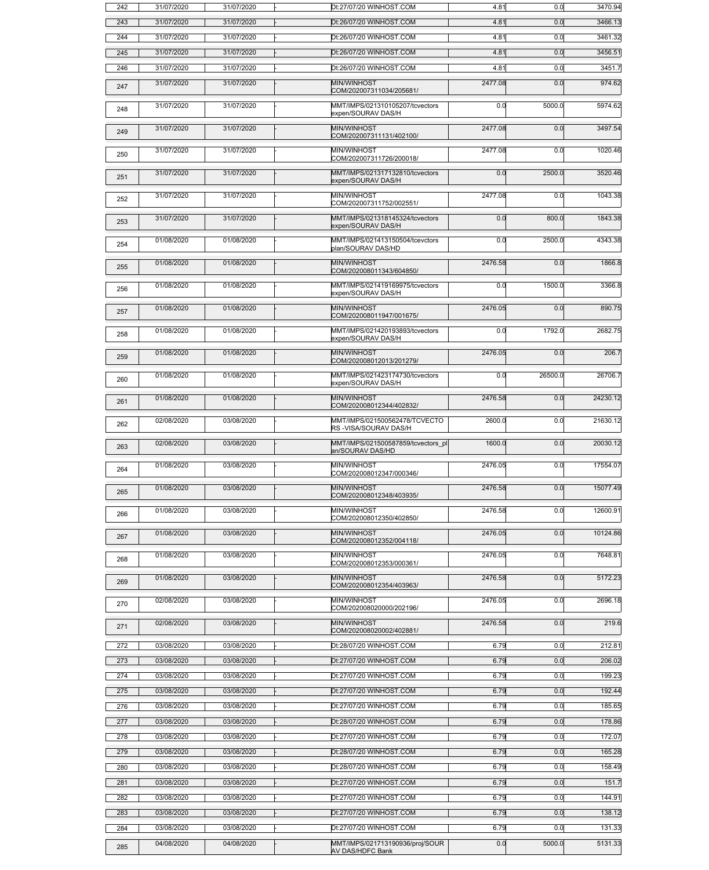| 242        | 31/07/2020               | 31/07/2020               | Dt:27/07/20 WINHOST.COM                                | 4.81         | 0.0        | 3470.94          |
|------------|--------------------------|--------------------------|--------------------------------------------------------|--------------|------------|------------------|
| 243        | 31/07/2020               | 31/07/2020               | Dt:26/07/20 WINHOST.COM                                | 4.81         | 0.0        | 3466.13          |
| 244        | 31/07/2020               | 31/07/2020               | Dt:26/07/20 WINHOST.COM                                | 4.81         | 0.0        | 3461.32          |
| 245        | 31/07/2020               | 31/07/2020               | Dt:26/07/20 WINHOST.COM                                | 4.81         | 0.0        | 3456.51          |
| 246        | 31/07/2020               | 31/07/2020               | Dt:26/07/20 WINHOST.COM                                | 4.81         | 0.0        | 3451.7           |
| 247        | 31/07/2020               | 31/07/2020               | MIN/WINHOST<br>COM/202007311034/205681/                | 2477.08      | 0.0        | 974.62           |
| 248        | 31/07/2020               | 31/07/2020               | MMT/IMPS/021310105207/tcvectors<br>expen/SOURAV DAS/H  | 0.0          | 5000.0     | 5974.62          |
| 249        | 31/07/2020               | 31/07/2020               | MIN/WINHOST<br>COM/202007311131/402100/                | 2477.08      | 0.0        | 3497.54          |
| 250        | 31/07/2020               | 31/07/2020               | MIN/WINHOST<br>COM/202007311726/200018/                | 2477.08      | 0.0        | 1020.46          |
| 251        | 31/07/2020               | 31/07/2020               | MMT/IMPS/021317132810/tcvectors<br>expen/SOURAV DAS/H  | 0.0          | 2500.0     | 3520.46          |
| 252        | 31/07/2020               | 31/07/2020               | MIN/WINHOST<br>COM/202007311752/002551/                | 2477.08      | 0.0        | 1043.38          |
| 253        | 31/07/2020               | 31/07/2020               | MMT/IMPS/021318145324/tcvectors<br>expen/SOURAV DAS/H  | 0.0          | 800.0      | 1843.38          |
| 254        | 01/08/2020               | 01/08/2020               | MMT/IMPS/021413150504/tcevctors<br>plan/SOURAV DAS/HD  | 0.0          | 2500.0     | 4343.38          |
| 255        | 01/08/2020               | 01/08/2020               | MIN/WINHOST<br>COM/202008011343/604850/                | 2476.58      | 0.0        | 1866.8           |
| 256        | 01/08/2020               | 01/08/2020               | MMT/IMPS/021419169975/tcvectors<br>expen/SOURAV DAS/H  | 0.0          | 1500.0     | 3366.8           |
| 257        | 01/08/2020               | 01/08/2020               | MIN/WINHOST<br>COM/202008011947/001675/                | 2476.05      | 0.0        | 890.75           |
| 258        | 01/08/2020               | 01/08/2020               | MMT/IMPS/021420193893/tcvectors<br>expen/SOURAV DAS/H  | 0.0          | 1792.0     | 2682.75          |
| 259        | 01/08/2020               | 01/08/2020               | MIN/WINHOST<br>COM/202008012013/201279/                | 2476.05      | 0.0        | 206.7            |
| 260        | 01/08/2020               | 01/08/2020               | MMT/IMPS/021423174730/tcvectors<br>expen/SOURAV DAS/H  | 0.0          | 26500.0    | 26706.7          |
| 261        | 01/08/2020               | 01/08/2020               | MIN/WINHOST<br>COM/202008012344/402832/                | 2476.58      | 0.0        | 24230.12         |
| 262        | 02/08/2020               | 03/08/2020               | MMT/IMPS/021500562478/TCVECTO<br>RS-VISA/SOURAV DAS/H  | 2600.0       | 0.0        | 21630.12         |
| 263        | 02/08/2020               | 03/08/2020               | MMT/IMPS/021500587859/tcvectors_pl<br>an/SOURAV DAS/HD | 1600.0       | 0.0        | 20030.12         |
| 264        | 01/08/2020               | 03/08/2020               | MIN/WINHOST<br>COM/202008012347/000346/                | 2476.05      | 0.0        | 17554.07         |
| 265        | 01/08/2020               | 03/08/2020               | MIN/WINHOST<br>COM/202008012348/403935/                | 2476.58      | 0.0        | 15077.49         |
| 266        | 01/08/2020               | 03/08/2020               | MIN/WINHOST<br>COM/202008012350/402850/                | 2476.58      | 0.0        | 12600.91         |
| 267        | 01/08/2020               | 03/08/2020               | MIN/WINHOST<br>COM/202008012352/004118/                | 2476.05      | 0.0        | 10124.86         |
| 268        | 01/08/2020               | 03/08/2020               | MIN/WINHOST<br>COM/202008012353/000361/                | 2476.05      | 0.0        | 7648.81          |
| 269        | 01/08/2020               | 03/08/2020               | MIN/WINHOST<br>COM/202008012354/403963/                | 2476.58      | 0.0        | 5172.23          |
| 270        | 02/08/2020               | 03/08/2020               | MIN/WINHOST<br>COM/202008020000/202196/                | 2476.05      | 0.0        | 2696.18          |
| 271        | 02/08/2020               | 03/08/2020               | MIN/WINHOST<br>COM/202008020002/402881/                | 2476.58      | 0.0        | 219.6            |
| 272        | 03/08/2020               | 03/08/2020               | Dt:28/07/20 WINHOST.COM                                | 6.79         | 0.0        | 212.81           |
| 273        | 03/08/2020               | 03/08/2020               | Dt:27/07/20 WINHOST.COM                                | 6.79         | 0.0        | 206.02           |
| 274        | 03/08/2020               | 03/08/2020               | Dt:27/07/20 WINHOST.COM                                | 6.79         | 0.0        | 199.23           |
| 275        | 03/08/2020               | 03/08/2020               | Dt:27/07/20 WINHOST.COM                                | 6.79         | 0.0        | 192.44           |
| 276        | 03/08/2020               | 03/08/2020               | Dt:27/07/20 WINHOST.COM                                | 6.79         | 0.0        | 185.65           |
| 277        | 03/08/2020               | 03/08/2020               | Dt:28/07/20 WINHOST.COM                                | 6.79         | 0.0        | 178.86           |
| 278        | 03/08/2020               | 03/08/2020               | Dt:27/07/20 WINHOST.COM                                | 6.79         | 0.0        | 172.07           |
| 279<br>280 | 03/08/2020<br>03/08/2020 | 03/08/2020<br>03/08/2020 | Dt:28/07/20 WINHOST.COM<br>Dt:28/07/20 WINHOST.COM     | 6.79<br>6.79 | 0.0<br>0.0 | 165.28<br>158.49 |
| 281        | 03/08/2020               | 03/08/2020               | Dt:27/07/20 WINHOST.COM                                | 6.79         | 0.0        | 151.7            |
| 282        | 03/08/2020               | 03/08/2020               | Dt:27/07/20 WINHOST.COM                                | 6.79         | 0.0        | 144.91           |
| 283        | 03/08/2020               | 03/08/2020               | Dt:27/07/20 WINHOST.COM                                | 6.79         | 0.0        | 138.12           |
| 284        | 03/08/2020               | 03/08/2020               | Dt:27/07/20 WINHOST.COM                                | 6.79         | 0.0        | 131.33           |
| 285        | 04/08/2020               | 04/08/2020               | MMT/IMPS/021713190936/proj/SOUR                        | 0.0          | 5000.0     | 5131.33          |
|            |                          |                          | <b>AV DAS/HDFC Bank</b>                                |              |            |                  |